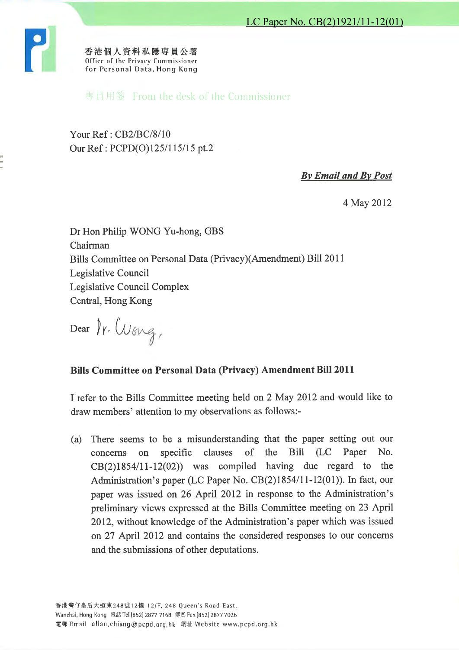

香港個人資料私隱專員公署 Office of the Privacy Commissioner for Personal Data, Hong Kong

專員用箋 From the desk of the Commissioner

Your Ref: CB2/BC/8/10 Our Ref: PCPD(O)125/115/15 pt.2

**By Email and By Post** 

4 May 2012

Dr Hon Philip WONG Yu-hong, GBS Chairman Bills Committee on Personal Data (Privacy)(Amendment) Bill 2011 Legislative Council Legislative Council Complex Central, Hong Kong

Dear fr. Wong,

## **Bills Committee on Personal Data (Privacy) Amendment Bill 2011**

I refer to the Bills Committee meeting held on 2 May 2012 and would like to draw members' attention to my observations as follows:-

There seems to be a misunderstanding that the paper setting out our  $(a)$ clauses of the **Bill**  $(LC)$ Paper No. specific concerns on  $CB(2)1854/11-12(02))$  was compiled having due regard to the Administration's paper (LC Paper No. CB(2)1854/11-12(01)). In fact, our paper was issued on 26 April 2012 in response to the Administration's preliminary views expressed at the Bills Committee meeting on 23 April 2012, without knowledge of the Administration's paper which was issued on 27 April 2012 and contains the considered responses to our concerns and the submissions of other deputations.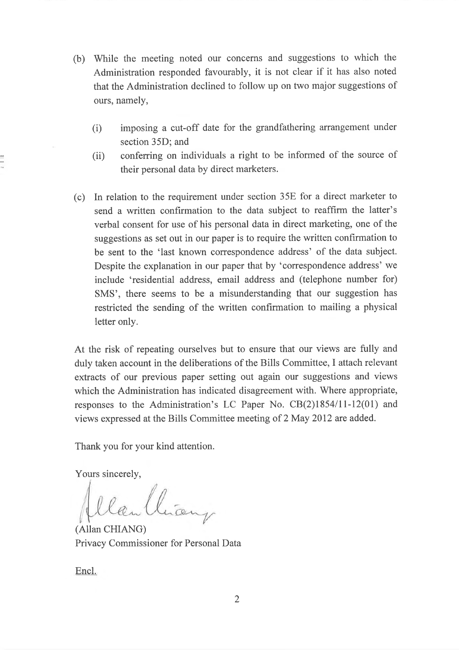- (b) While the meeting noted our concerns and suggestions to which the Administration responded favourably, it is not clear if it has also noted that the Administration declined to follow up on two major suggestions of ours, namely,
	- imposing a cut-off date for the grandfathering arrangement under  $(i)$ section 35D; and
	- conferring on individuals a right to be informed of the source of  $(ii)$ their personal data by direct marketers.
- (c) In relation to the requirement under section 35E for a direct marketer to send a written confirmation to the data subject to reaffirm the latter's verbal consent for use of his personal data in direct marketing, one of the suggestions as set out in our paper is to require the written confirmation to be sent to the 'last known correspondence address' of the data subject. Despite the explanation in our paper that by 'correspondence address' we include 'residential address, email address and (telephone number for) SMS', there seems to be a misunderstanding that our suggestion has restricted the sending of the written confirmation to mailing a physical letter only.

At the risk of repeating ourselves but to ensure that our views are fully and duly taken account in the deliberations of the Bills Committee, I attach relevant extracts of our previous paper setting out again our suggestions and views which the Administration has indicated disagreement with. Where appropriate, responses to the Administration's LC Paper No. CB(2)1854/11-12(01) and views expressed at the Bills Committee meeting of 2 May 2012 are added.

Thank you for your kind attention.

Yours sincerely,

llan Clian

(Allan CHIANG) Privacy Commissioner for Personal Data

Encl.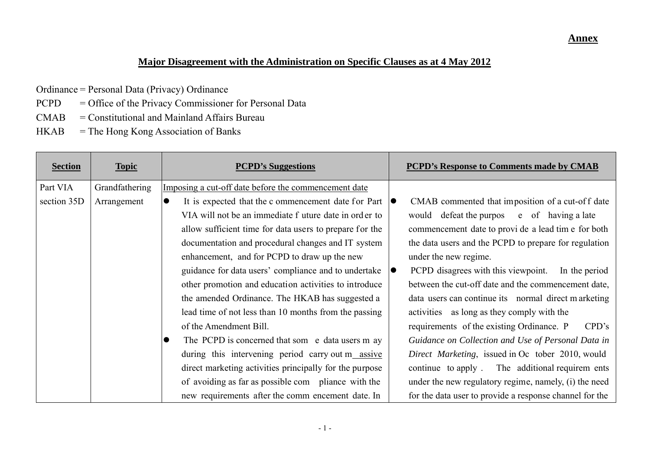## **Annex**

## **Major Disagreement with the Administration on Specific Clauses as at 4 May 2012**

- Ordinance = Personal Data (Privacy) Ordinance
- PCPD = Office of the Privacy Commissioner for Personal Data
- CMAB = Constitutional and Mainland Affairs Bureau
- HKAB = The Hong Kong Association of Banks

| <b>Section</b> | <b>Topic</b>   | <b>PCPD's Suggestions</b>                                                 |    | <b>PCPD's Response to Comments made by CMAB</b>         |
|----------------|----------------|---------------------------------------------------------------------------|----|---------------------------------------------------------|
| Part VIA       | Grandfathering | Imposing a cut-off date before the commencement date                      |    |                                                         |
| section 35D    | Arrangement    | It is expected that the c ommencement date for Part $\vert \bullet \vert$ |    | CMAB commented that imposition of a cut-off date        |
|                |                | VIA will not be an immediate f uture date in order to                     |    | would defeat the purpos e of having a late              |
|                |                | allow sufficient time for data users to prepare for the                   |    | commencement date to provi de a lead time for both      |
|                |                | documentation and procedural changes and IT system                        |    | the data users and the PCPD to prepare for regulation   |
|                |                | enhancement, and for PCPD to draw up the new                              |    | under the new regime.                                   |
|                |                | guidance for data users' compliance and to undertake                      | 10 | PCPD disagrees with this viewpoint.<br>In the period    |
|                |                | other promotion and education activities to introduce                     |    | between the cut-off date and the commencement date,     |
|                |                | the amended Ordinance. The HKAB has suggested a                           |    | data users can continue its normal direct m arketing    |
|                |                | lead time of not less than 10 months from the passing                     |    | activities as long as they comply with the              |
|                |                | of the Amendment Bill.                                                    |    | requirements of the existing Ordinance. P<br>CPD's      |
|                |                | The PCPD is concerned that som e data users m ay                          |    | Guidance on Collection and Use of Personal Data in      |
|                |                | during this intervening period carry out m_assive                         |    | Direct Marketing, issued in Oc tober 2010, would        |
|                |                | direct marketing activities principally for the purpose                   |    | continue to apply. The additional requirem ents         |
|                |                | of avoiding as far as possible com pliance with the                       |    | under the new regulatory regime, namely, (i) the need   |
|                |                | new requirements after the comm encement date. In                         |    | for the data user to provide a response channel for the |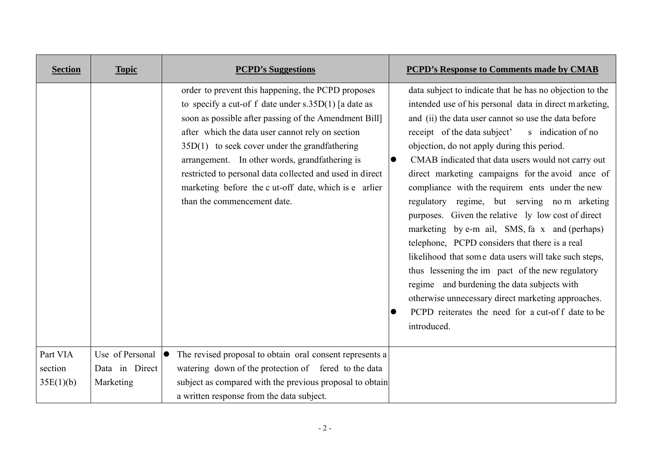| <b>Section</b> | <b>Topic</b>    | <b>PCPD's Suggestions</b>                                                                                                                                                                                                                                                                                                                                                                                                                                                          | <b>PCPD's Response to Comments made by CMAB</b>                                                                                                                                                                                                                                                                                                                                                                                                                                                                                                                                                                                                                                                                                                                                                                                                                                                                                             |
|----------------|-----------------|------------------------------------------------------------------------------------------------------------------------------------------------------------------------------------------------------------------------------------------------------------------------------------------------------------------------------------------------------------------------------------------------------------------------------------------------------------------------------------|---------------------------------------------------------------------------------------------------------------------------------------------------------------------------------------------------------------------------------------------------------------------------------------------------------------------------------------------------------------------------------------------------------------------------------------------------------------------------------------------------------------------------------------------------------------------------------------------------------------------------------------------------------------------------------------------------------------------------------------------------------------------------------------------------------------------------------------------------------------------------------------------------------------------------------------------|
|                |                 | order to prevent this happening, the PCPD proposes<br>to specify a cut-of f date under $s.35D(1)$ [a date as<br>soon as possible after passing of the Amendment Bill]<br>after which the data user cannot rely on section<br>$35D(1)$ to seek cover under the grandfathering<br>arrangement. In other words, grandfathering is<br>restricted to personal data collected and used in direct<br>marketing before the c ut-off date, which is e arlier<br>than the commencement date. | data subject to indicate that he has no objection to the<br>intended use of his personal data in direct marketing,<br>and (ii) the data user cannot so use the data before<br>receipt of the data subject'<br>s indication of no<br>objection, do not apply during this period.<br>CMAB indicated that data users would not carry out<br>direct marketing campaigns for the avoid ance of<br>compliance with the requirem ents under the new<br>regulatory regime, but serving no m arketing<br>purposes. Given the relative ly low cost of direct<br>marketing by e-m ail, SMS, fa x and (perhaps)<br>telephone, PCPD considers that there is a real<br>likelihood that some data users will take such steps,<br>thus lessening the im pact of the new regulatory<br>regime and burdening the data subjects with<br>otherwise unnecessary direct marketing approaches.<br>PCPD reiterates the need for a cut-off date to be<br>introduced. |
| Part VIA       | Use of Personal | The revised proposal to obtain oral consent represents a                                                                                                                                                                                                                                                                                                                                                                                                                           |                                                                                                                                                                                                                                                                                                                                                                                                                                                                                                                                                                                                                                                                                                                                                                                                                                                                                                                                             |
| section        | Data in Direct  | watering down of the protection of fered to the data                                                                                                                                                                                                                                                                                                                                                                                                                               |                                                                                                                                                                                                                                                                                                                                                                                                                                                                                                                                                                                                                                                                                                                                                                                                                                                                                                                                             |
| 35E(1)(b)      | Marketing       | subject as compared with the previous proposal to obtain                                                                                                                                                                                                                                                                                                                                                                                                                           |                                                                                                                                                                                                                                                                                                                                                                                                                                                                                                                                                                                                                                                                                                                                                                                                                                                                                                                                             |
|                |                 | a written response from the data subject.                                                                                                                                                                                                                                                                                                                                                                                                                                          |                                                                                                                                                                                                                                                                                                                                                                                                                                                                                                                                                                                                                                                                                                                                                                                                                                                                                                                                             |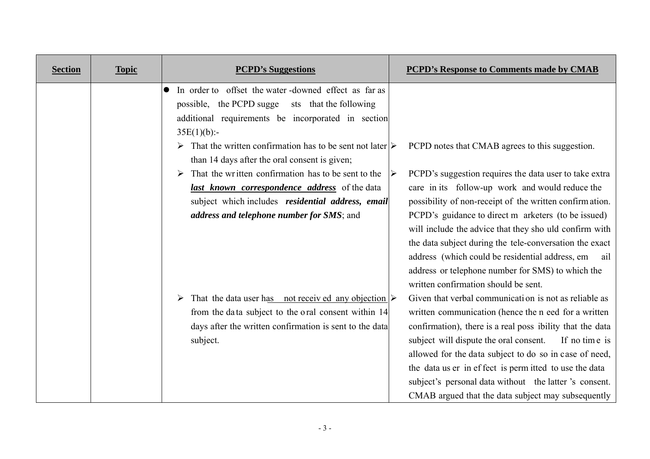| <b>Section</b> | <b>Topic</b> | <b>PCPD's Suggestions</b>                                                                                                                                                                                                                                                                                                        | <b>PCPD's Response to Comments made by CMAB</b>                                                                                                                                                                                                                                                                                                                                                                                                                                                              |
|----------------|--------------|----------------------------------------------------------------------------------------------------------------------------------------------------------------------------------------------------------------------------------------------------------------------------------------------------------------------------------|--------------------------------------------------------------------------------------------------------------------------------------------------------------------------------------------------------------------------------------------------------------------------------------------------------------------------------------------------------------------------------------------------------------------------------------------------------------------------------------------------------------|
|                |              | In order to offset the water -downed effect as far as<br>possible, the PCPD sugge<br>sts that the following<br>additional requirements be incorporated in section<br>$35E(1)(b)$ :-<br>$\triangleright$ That the written confirmation has to be sent not later $\triangleright$<br>than 14 days after the oral consent is given; | PCPD notes that CMAB agrees to this suggestion.                                                                                                                                                                                                                                                                                                                                                                                                                                                              |
|                |              | That the written confirmation has to be sent to the<br><i>last known correspondence address</i> of the data<br>subject which includes residential address, email<br>address and telephone number for SMS; and                                                                                                                    | PCPD's suggestion requires the data user to take extra<br>➤<br>care in its follow-up work and would reduce the<br>possibility of non-receipt of the written confirmation.<br>PCPD's guidance to direct m arketers (to be issued)<br>will include the advice that they sho uld confirm with<br>the data subject during the tele-conversation the exact<br>address (which could be residential address, em<br>ail<br>address or telephone number for SMS) to which the<br>written confirmation should be sent. |
|                |              | That the data user has not received any objection $\triangleright$<br>➤<br>from the data subject to the oral consent within 14<br>days after the written confirmation is sent to the data<br>subject.                                                                                                                            | Given that verbal communication is not as reliable as<br>written communication (hence the n eed for a written<br>confirmation), there is a real poss ibility that the data<br>subject will dispute the oral consent.<br>If no time is<br>allowed for the data subject to do so in case of need,<br>the data us er in effect is permitted to use the data<br>subject's personal data without the latter's consent.<br>CMAB argued that the data subject may subsequently                                      |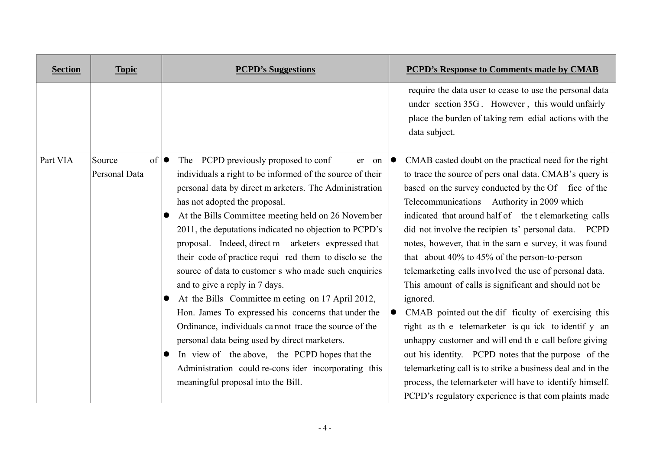| <b>Section</b> | <b>Topic</b>                                   | <b>PCPD's Suggestions</b>                                                                                                                                                                                                                                                                                                                                                                                                                                                                                                                                                                                                                                                                                                                                                                                                                                                                                                     | <b>PCPD's Response to Comments made by CMAB</b>                                                                                                                                                                                                                                                                                                                                                                                                                                                                                                                                                                                                                                                                                                                                                                                                                                                                                                                                                                                  |
|----------------|------------------------------------------------|-------------------------------------------------------------------------------------------------------------------------------------------------------------------------------------------------------------------------------------------------------------------------------------------------------------------------------------------------------------------------------------------------------------------------------------------------------------------------------------------------------------------------------------------------------------------------------------------------------------------------------------------------------------------------------------------------------------------------------------------------------------------------------------------------------------------------------------------------------------------------------------------------------------------------------|----------------------------------------------------------------------------------------------------------------------------------------------------------------------------------------------------------------------------------------------------------------------------------------------------------------------------------------------------------------------------------------------------------------------------------------------------------------------------------------------------------------------------------------------------------------------------------------------------------------------------------------------------------------------------------------------------------------------------------------------------------------------------------------------------------------------------------------------------------------------------------------------------------------------------------------------------------------------------------------------------------------------------------|
|                |                                                |                                                                                                                                                                                                                                                                                                                                                                                                                                                                                                                                                                                                                                                                                                                                                                                                                                                                                                                               | require the data user to cease to use the personal data<br>under section 35G. However, this would unfairly<br>place the burden of taking rem edial actions with the<br>data subject.                                                                                                                                                                                                                                                                                                                                                                                                                                                                                                                                                                                                                                                                                                                                                                                                                                             |
| Part VIA       | Source<br>$\circ$ f $\bullet$<br>Personal Data | The PCPD previously proposed to conf<br>er on<br>individuals a right to be informed of the source of their<br>personal data by direct m arketers. The Administration<br>has not adopted the proposal.<br>At the Bills Committee meeting held on 26 November<br>$\bullet$<br>2011, the deputations indicated no objection to PCPD's<br>proposal. Indeed, direct m arketers expressed that<br>their code of practice requi red them to disclose the<br>source of data to customer s who made such enquiries<br>and to give a reply in 7 days.<br>At the Bills Committee m eeting on 17 April 2012,<br>Hon. James To expressed his concerns that under the<br>Ordinance, individuals cannot trace the source of the<br>personal data being used by direct marketers.<br>In view of the above, the PCPD hopes that the<br>$\bullet$<br>Administration could re-cons ider incorporating this<br>meaningful proposal into the Bill. | CMAB casted doubt on the practical need for the right<br>$\bullet$<br>to trace the source of pers onal data. CMAB's query is<br>based on the survey conducted by the Of fice of the<br>Telecommunications Authority in 2009 which<br>indicated that around half of the t elemarketing calls<br>did not involve the recipien ts' personal data. PCPD<br>notes, however, that in the sam e survey, it was found<br>that about $40\%$ to $45\%$ of the person-to-person<br>telemarketing calls involved the use of personal data.<br>This amount of calls is significant and should not be<br>ignored.<br>CMAB pointed out the dif ficulty of exercising this<br>$\bullet$<br>right as the telemarketer is qu ick to identif y an<br>unhappy customer and will end the call before giving<br>out his identity. PCPD notes that the purpose of the<br>telemarketing call is to strike a business deal and in the<br>process, the telemarketer will have to identify himself.<br>PCPD's regulatory experience is that complaints made |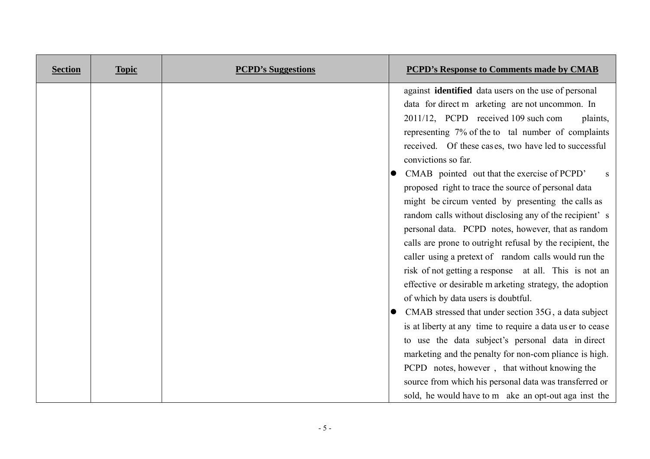| <b>Section</b> | <b>Topic</b> | <b>PCPD's Suggestions</b> | <b>PCPD's Response to Comments made by CMAB</b>                                                                                                                                                                                                                                                                                                                                                                                                                                                                                                                                                                                                                                                                                                                                                                                                                                                                                                                                                                                                                                                                  |
|----------------|--------------|---------------------------|------------------------------------------------------------------------------------------------------------------------------------------------------------------------------------------------------------------------------------------------------------------------------------------------------------------------------------------------------------------------------------------------------------------------------------------------------------------------------------------------------------------------------------------------------------------------------------------------------------------------------------------------------------------------------------------------------------------------------------------------------------------------------------------------------------------------------------------------------------------------------------------------------------------------------------------------------------------------------------------------------------------------------------------------------------------------------------------------------------------|
|                |              |                           | against identified data users on the use of personal<br>data for direct m arketing are not uncommon. In<br>2011/12, PCPD received 109 such com<br>plaints,<br>representing 7% of the to tal number of complaints<br>received. Of these cases, two have led to successful<br>convictions so far.<br>CMAB pointed out that the exercise of PCPD'<br><sub>S</sub><br>proposed right to trace the source of personal data<br>might be circum vented by presenting the calls as<br>random calls without disclosing any of the recipient's<br>personal data. PCPD notes, however, that as random<br>calls are prone to outright refusal by the recipient, the<br>caller using a pretext of random calls would run the<br>risk of not getting a response at all. This is not an<br>effective or desirable m arketing strategy, the adoption<br>of which by data users is doubtful.<br>CMAB stressed that under section 35G, a data subject<br>is at liberty at any time to require a data us er to cease<br>to use the data subject's personal data in direct<br>marketing and the penalty for non-com pliance is high. |
|                |              |                           | PCPD notes, however, that without knowing the<br>source from which his personal data was transferred or<br>sold, he would have to m ake an opt-out aga inst the                                                                                                                                                                                                                                                                                                                                                                                                                                                                                                                                                                                                                                                                                                                                                                                                                                                                                                                                                  |